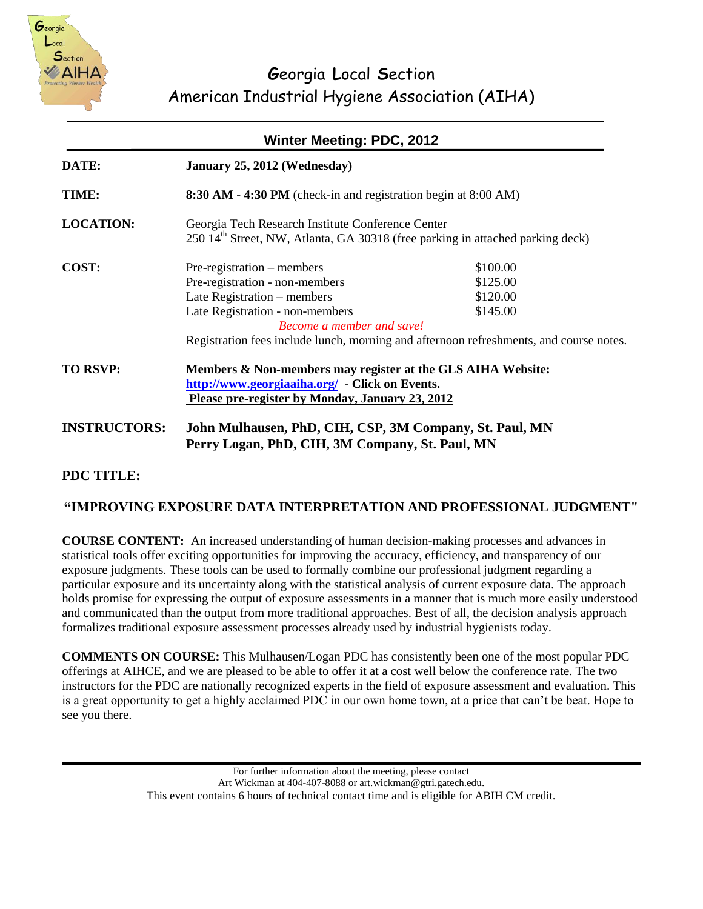

| <b>Winter Meeting: PDC, 2012</b> |                                                                                                                                                                  |          |  |
|----------------------------------|------------------------------------------------------------------------------------------------------------------------------------------------------------------|----------|--|
| <b>DATE:</b>                     | January 25, 2012 (Wednesday)                                                                                                                                     |          |  |
| <b>TIME:</b>                     | 8:30 AM - 4:30 PM (check-in and registration begin at 8:00 AM)                                                                                                   |          |  |
| <b>LOCATION:</b>                 | Georgia Tech Research Institute Conference Center<br>250 14 <sup>th</sup> Street, NW, Atlanta, GA 30318 (free parking in attached parking deck)                  |          |  |
|                                  |                                                                                                                                                                  |          |  |
| COST:                            | Pre-registration – members                                                                                                                                       | \$100.00 |  |
|                                  | Pre-registration - non-members                                                                                                                                   | \$125.00 |  |
|                                  | Late Registration – members                                                                                                                                      | \$120.00 |  |
|                                  | Late Registration - non-members<br>Become a member and save!                                                                                                     | \$145.00 |  |
|                                  | Registration fees include lunch, morning and afternoon refreshments, and course notes.                                                                           |          |  |
| <b>TO RSVP:</b>                  | Members & Non-members may register at the GLS AIHA Website:<br>http://www.georgiaaiha.org/ - Click on Events.<br>Please pre-register by Monday, January 23, 2012 |          |  |
| <b>INSTRUCTORS:</b>              | John Mulhausen, PhD, CIH, CSP, 3M Company, St. Paul, MN<br>Perry Logan, PhD, CIH, 3M Company, St. Paul, MN                                                       |          |  |

### **PDC TITLE:**

#### **"IMPROVING EXPOSURE DATA INTERPRETATION AND PROFESSIONAL JUDGMENT"**

**COURSE CONTENT:** An increased understanding of human decision-making processes and advances in statistical tools offer exciting opportunities for improving the accuracy, efficiency, and transparency of our exposure judgments. These tools can be used to formally combine our professional judgment regarding a particular exposure and its uncertainty along with the statistical analysis of current exposure data. The approach holds promise for expressing the output of exposure assessments in a manner that is much more easily understood and communicated than the output from more traditional approaches. Best of all, the decision analysis approach formalizes traditional exposure assessment processes already used by industrial hygienists today.

**COMMENTS ON COURSE:** This Mulhausen/Logan PDC has consistently been one of the most popular PDC offerings at AIHCE, and we are pleased to be able to offer it at a cost well below the conference rate. The two instructors for the PDC are nationally recognized experts in the field of exposure assessment and evaluation. This is a great opportunity to get a highly acclaimed PDC in our own home town, at a price that can't be beat. Hope to see you there.